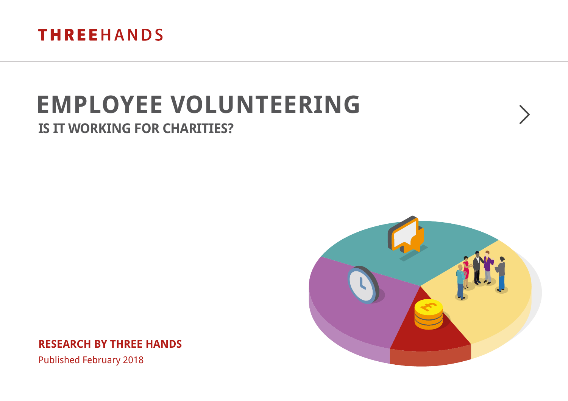

# **EMPLOYEE VOLUNTEERING**

## **IS IT WORKING FOR CHARITIES?**



**RESEARCH BY THREE HANDS**

Published February 2018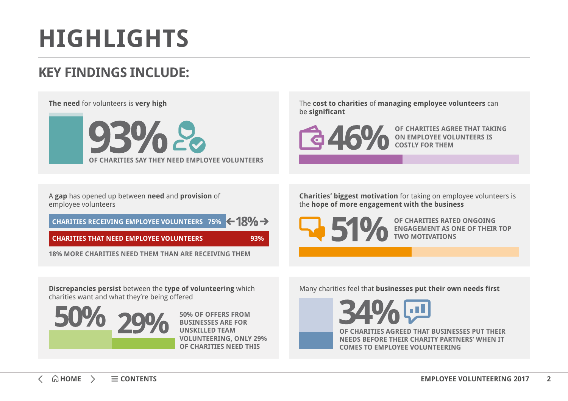# <span id="page-1-0"></span>**HIGHLIGHTS**

# **KEY FINDINGS INCLUDE:**

#### **The need** for volunteers is **very high**



The **cost to charities** of **managing employee volunteers** can be **significant** 



**OF CHARITIES AGREE THAT TAKING ON EMPLOYEE VOLUNTEERS IS COSTLY FOR THEM**

A **gap** has opened up between **need** and **provision** of employee volunteers

 $\leftarrow$  18%  $\rightarrow$ **CHARITIES RECEIVING EMPLOYEE VOLUNTEERS 75%**

**CHARITIES THAT NEED EMPLOYEE VOLUNTEERS 93%**

**18% MORE CHARITIES NEED THEM THAN ARE RECEIVING THEM**

**Charities' biggest motivation** for taking on employee volunteers is the **hope of more engagement with the business**

**OF CHARITIES RATED ONGOING ENGAGEMENT AS ONE OF THEIR TOP TWO MOTIVATIONS**

**Discrepancies persist** between the **type of volunteering** which charities want and what they're being offered



**50% OF OFFERS FROM BUSINESSES ARE FOR UNSKILLED TEAM VOLUNTEERING, ONLY 29% OF CHARITIES NEED THIS** 

Many charities feel that **businesses put their own needs first** 

**OF CHARITIES AGREED THAT BUSINESSES PUT THEIR NEEDS BEFORE THEIR CHARITY PARTNERS' WHEN IT COMES TO EMPLOYEE VOLUNTEERING**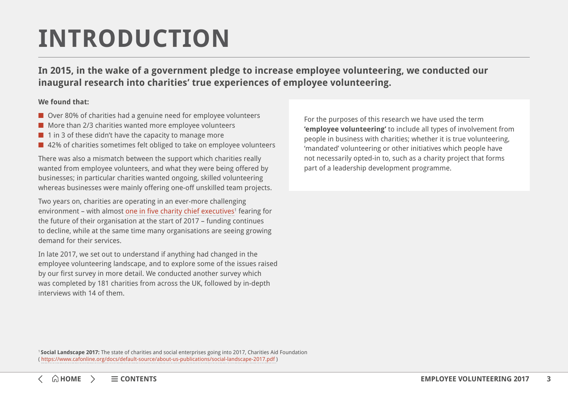# <span id="page-2-0"></span>**INTRODUCTION**

**In 2015, in the wake of a government pledge to increase employee volunteering, we conducted our inaugural research into charities' true experiences of employee volunteering.** 

#### **We found that:**

- Over 80% of charities had a genuine need for employee volunteers
- More than 2/3 charities wanted more employee volunteers
- 1 in 3 of these didn't have the capacity to manage more
- 42% of charities sometimes felt obliged to take on employee volunteers

There was also a mismatch between the support which charities really wanted from employee volunteers, and what they were being offered by businesses; in particular charities wanted ongoing, skilled volunteering whereas businesses were mainly offering one-off unskilled team projects.

Two years on, charities are operating in an ever-more challenging environment – with almost [one in five charity chief executives](https://www.cafonline.org/docs/default-source/about-us-publications/social-landscape-2017.pdf)<sup>1</sup> fearing for the future of their organisation at the start of 2017 – funding continues to decline, while at the same time many organisations are seeing growing demand for their services.

In late 2017, we set out to understand if anything had changed in the employee volunteering landscape, and to explore some of the issues raised by our first survey in more detail. We conducted another survey which was completed by 181 charities from across the UK, followed by in-depth interviews with 14 of them.

For the purposes of this research we have used the term **'employee volunteering'** to include all types of involvement from people in business with charities; whether it is true volunteering, 'mandated' volunteering or other initiatives which people have not necessarily opted-in to, such as a charity project that forms part of a leadership development programme.

<sup>1</sup>**Social Landscape 2017:** The state of charities and social enterprises going into 2017, Charities Aid Foundation (<https://www.cafonline.org/docs/default-source/about-us-publications/social-landscape-2017.pdf> )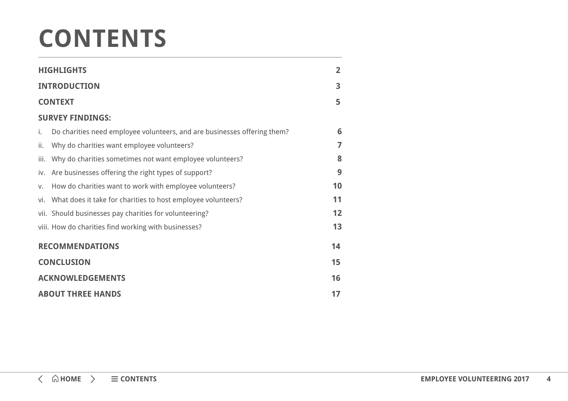# **CONTENTS**

| <b>HIGHLIGHTS</b>        |                                                                          |                |  |  |
|--------------------------|--------------------------------------------------------------------------|----------------|--|--|
| <b>INTRODUCTION</b>      |                                                                          | 3              |  |  |
| <b>CONTEXT</b>           |                                                                          | 5              |  |  |
| <b>SURVEY FINDINGS:</b>  |                                                                          |                |  |  |
| i.                       | Do charities need employee volunteers, and are businesses offering them? | 6              |  |  |
| ii.                      | Why do charities want employee volunteers?                               | $\overline{7}$ |  |  |
|                          | iii. Why do charities sometimes not want employee volunteers?            | 8              |  |  |
|                          | iv. Are businesses offering the right types of support?                  | 9              |  |  |
| V.                       | How do charities want to work with employee volunteers?                  | 10             |  |  |
|                          | vi. What does it take for charities to host employee volunteers?         | 11             |  |  |
|                          | vii. Should businesses pay charities for volunteering?                   | 12             |  |  |
|                          | viii. How do charities find working with businesses?                     | 13             |  |  |
| <b>RECOMMENDATIONS</b>   |                                                                          |                |  |  |
|                          | <b>CONCLUSION</b>                                                        |                |  |  |
| <b>ACKNOWLEDGEMENTS</b>  |                                                                          |                |  |  |
| <b>ABOUT THREE HANDS</b> |                                                                          |                |  |  |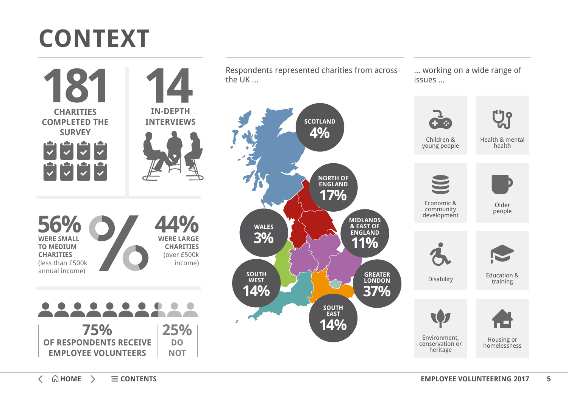# <span id="page-4-0"></span>**CONTEXT**

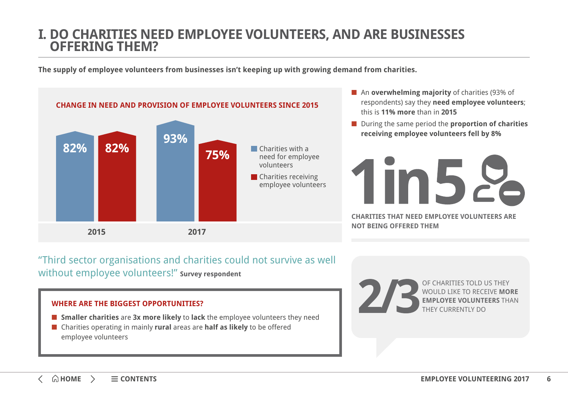## <span id="page-5-0"></span>**I. DO CHARITIES NEED EMPLOYEE VOLUNTEERS, AND ARE BUSINESSES OFFERING THEM?**

**The supply of employee volunteers from businesses isn't keeping up with growing demand from charities.**



- An **overwhelming majority** of charities (93% of respondents) say they **need employee volunteers**; this is **11% more** than in **2015**
- During the same period the **proportion of charities receiving employee volunteers fell by 8%**



"Third sector organisations and charities could not survive as well without employee volunteers!" **Survey respondent**

### **WHERE ARE THE BIGGEST OPPORTUNITIES?**

- **Smaller charities** are **3x more likely** to **lack** the employee volunteers they need
- Charities operating in mainly **rural** areas are **half as likely** to be offered employee volunteers

OF CHARITIES TOLD US THEY WOULD LIKE TO RECEIVE **MORE EMPLOYEE VOLUNTEERS** THAN THEY CURRENTLY DO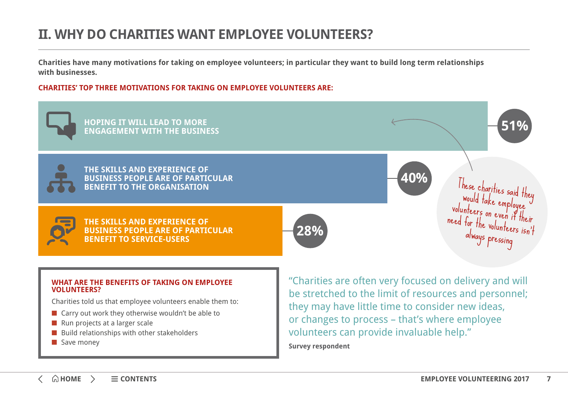## <span id="page-6-0"></span>**II. WHY DO CHARITIES WANT EMPLOYEE VOLUNTEERS?**

**Charities have many motivations for taking on employee volunteers; in particular they want to build long term relationships with businesses.** 

### **CHARITIES' TOP THREE MOTIVATIONS FOR TAKING ON EMPLOYEE VOLUNTEERS ARE:**



- Build relationships with other stakeholders
- Save money

**Survey respondent**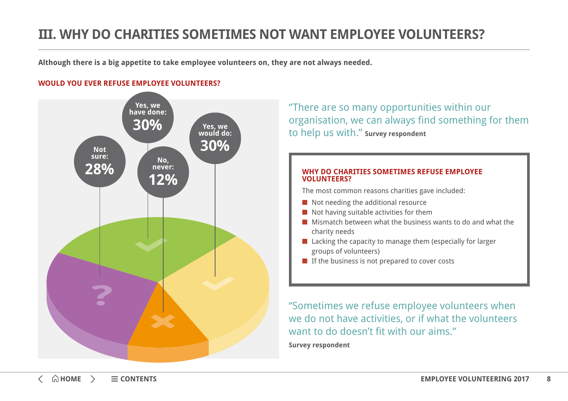## <span id="page-7-0"></span>**III. WHY DO CHARITIES SOMETIMES NOT WANT EMPLOYEE VOLUNTEERS?**

**Although there is a big appetite to take employee volunteers on, they are not always needed.**

### **WOULD YOU EVER REFUSE EMPLOYEE VOLUNTEERS?**



"There are so many opportunities within our organisation, we can always find something for them to help us with." **Survey respondent**

#### **WHY DO CHARITIES SOMETIMES REFUSE EMPLOYEE VOLUNTEERS?**

The most common reasons charities gave included:

- Not needing the additional resource
- Not having suitable activities for them
- Mismatch between what the business wants to do and what the charity needs
- Lacking the capacity to manage them (especially for larger groups of volunteers)
- If the business is not prepared to cover costs

"Sometimes we refuse employee volunteers when we do not have activities, or if what the volunteers want to do doesn't fit with our aims." **Survey respondent**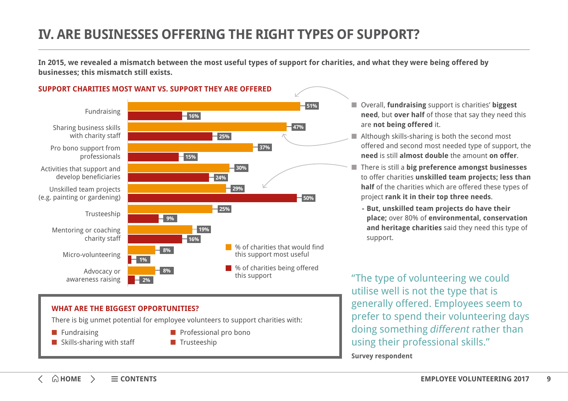## <span id="page-8-0"></span>**IV. ARE BUSINESSES OFFERING THE RIGHT TYPES OF SUPPORT?**

**In 2015, we revealed a mismatch between the most useful types of support for charities, and what they were being offered by businesses; this mismatch still exists.**





### **51%** ■ Overall, **fundraising** support is charities' **biggest need**, but **over half** of those that say they need this are **not being offered** it.

- Although skills-sharing is both the second most offered and second most needed type of support, the **need** is still **almost double** the amount **on offer**.
- There is still a **big preference amongst businesses** to offer charities **unskilled team projects; less than half** of the charities which are offered these types of project **rank it in their top three needs**.
	- **- But, unskilled team projects do have their place;** over 80% of **environmental, conservation and heritage charities** said they need this type of support.

"The type of volunteering we could utilise well is not the type that is generally offered. Employees seem to prefer to spend their volunteering days doing something different rather than using their professional skills."

**Survey respondent**

### **WHAT ARE THE BIGGEST OPPORTUNITIES?**

There is big unmet potential for employee volunteers to support charities with:

- Fundraising
- Skills-sharing with staff
- Professional pro bono
- Trusteeship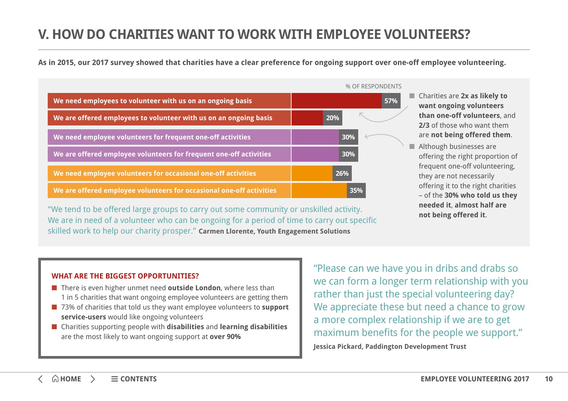## <span id="page-9-0"></span>**V. HOW DO CHARITIES WANT TO WORK WITH EMPLOYEE VOLUNTEERS?**

**As in 2015, our 2017 survey showed that charities have a clear preference for ongoing support over one-off employee volunteering.**

|                                                                      | % OF RESPONDENTS |
|----------------------------------------------------------------------|------------------|
| We need employees to volunteer with us on an ongoing basis           | 57%              |
| We are offered employees to volunteer with us on an ongoing basis    | 20%              |
| We need employee volunteers for frequent one-off activities          | 30%              |
| We are offered employee volunteers for frequent one-off activities   | 30%              |
| We need employee volunteers for occasional one-off activities        | 26%              |
| We are offered employee volunteers for occasional one-off activities | 35%              |

"We tend to be offered large groups to carry out some community or unskilled activity. We are in need of a volunteer who can be ongoing for a period of time to carry out specific skilled work to help our charity prosper." **Carmen Llorente, Youth Engagement Solutions**

- Charities are 2**x as likely to want ongoing volunteers than one-off volunteers**, and **2/3** of those who want them are **not being offered them**.
- Although businesses are offering the right proportion of frequent one-off volunteering, they are not necessarily offering it to the right charities – of the **30% who told us they needed it**, **almost half are not being offered it**.

### **WHAT ARE THE BIGGEST OPPORTUNITIES?**

- There is even higher unmet need **outside London**, where less than 1 in 5 charities that want ongoing employee volunteers are getting them
- 73% of charities that told us they want employee volunteers to **support service-users** would like ongoing volunteers
- Charities supporting people with **disabilities** and **learning disabilities** are the most likely to want ongoing support at **over 90%**

"Please can we have you in dribs and drabs so we can form a longer term relationship with you rather than just the special volunteering day? We appreciate these but need a chance to grow a more complex relationship if we are to get maximum benefits for the people we support." **Jessica Pickard, Paddington Development Trust**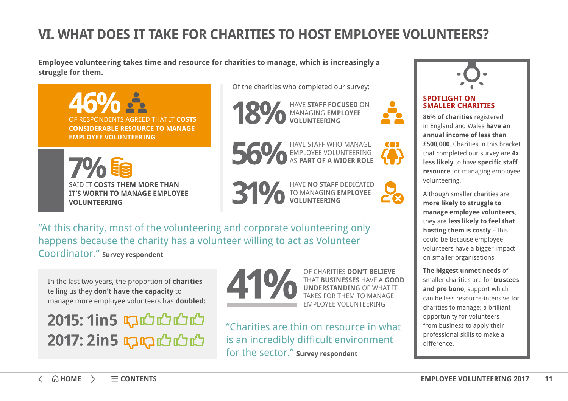# <span id="page-10-0"></span>**VI. WHAT DOES IT TAKE FOR CHARITIES TO HOST EMPLOYEE VOLUNTEERS?**

**Employee volunteering takes time and resource for charities to manage, which is increasingly a struggle for them.**

OF RESPONDENTS AGREED THAT IT **COSTS CONSIDERABLE RESOURCE TO MANAGE EMPLOYEE VOLUNTEERING**

SAID IT **COSTS THEM MORE THAN IT'S WORTH TO MANAGE EMPLOYEE VOLUNTEERING**

Of the charities who completed our survey:







HAVE STAFF WHO MANAGE EMPLOYEE VOLUNTEERING AS **PART OF A WIDER ROLE**

HAVE **NO STAFF** DEDICATED TO MANAGING **EMPLOYEE VOLUNTEERING**



m



### **SPOTLIGHT ON SMALLER CHARITIES**

**86% of charities** registered in England and Wales **have an annual income of less than £500,000**. Charities in this bracket that completed our survey are **4x less likely** to have **specific staff resource** for managing employee volunteering.

Although smaller charities are **more likely to struggle to manage employee volunteers**, they are **less likely to feel that hosting them is costly** – this could be because employee volunteers have a bigger impact on smaller organisations.

**The biggest unmet needs** of smaller charities are for **trustees and pro bono**, support which can be less resource-intensive for charities to manage; a brilliant opportunity for volunteers from business to apply their professional skills to make a difference.

"At this charity, most of the volunteering and corporate volunteering only happens because the charity has a volunteer willing to act as Volunteer Coordinator." **Survey respondent**

In the last two years, the proportion of **charities** telling us they **don't have the capacity** to manage more employee volunteers has **doubled:**

2015: 1in5 1700000 2017: 2in5 1717101010



OF CHARITIES **DON'T BELIEVE** THAT **BUSINESSES** HAVE A **GOOD UNDERSTANDING** OF WHAT IT TAKES FOR THEM TO MANAGE EMPLOYEE VOLUNTEERING

"Charities are thin on resource in what is an incredibly difficult environment for the sector." **Survey respondent**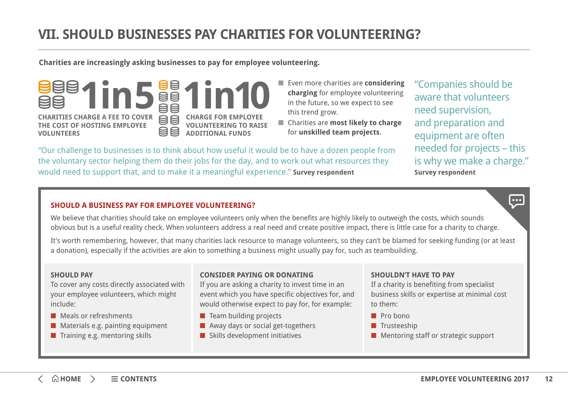<span id="page-11-0"></span>**Charities are increasingly asking businesses to pay for employee volunteering.**

**BB CHARITIES CHARGE A FEE TO COVER CHARGE FOR EMP THE COST OF HOSTING EMPLOYEE VOLUNTEERING TO RAISE**  日目 **ADDITIONAL FUNDS**

- Even more charities are **considering charging** for employee volunteering in the future, so we expect to see this trend grow.
- Charities are **most likely to charge** for **unskilled team projects**.

"Companies should be aware that volunteers need supervision, and preparation and equipment are often needed for projects – this is why we make a charge." **Survey respondent**

 $\bullet \bullet \bullet$ 

"Our challenge to businesses is to think about how useful it would be to have a dozen people from the voluntary sector helping them do their jobs for the day, and to work out what resources they would need to support that, and to make it a meaningful experience." **Survey respondent**

### **SHOULD A BUSINESS PAY FOR EMPLOYEE VOLUNTEERING?**

We believe that charities should take on employee volunteers only when the benefits are highly likely to outweigh the costs, which sounds obvious but is a useful reality check. When volunteers address a real need and create positive impact, there is little case for a charity to charge.

It's worth remembering, however, that many charities lack resource to manage volunteers, so they can't be blamed for seeking funding (or at least a donation), especially if the activities are akin to something a business might usually pay for, such as teambuilding.

#### **SHOULD PAY**

**VOLUNTEERS** 

To cover any costs directly associated with your employee volunteers, which might include:

- Meals or refreshments
- Materials e.g. painting equipment
- Training e.g. mentoring skills

### **CONSIDER PAYING OR DONATING**

If you are asking a charity to invest time in an event which you have specific objectives for, and would otherwise expect to pay for, for example:

- Team building projects
- Away days or social get-togethers
- Skills development initiatives

### **SHOULDN'T HAVE TO PAY**

If a charity is benefiting from specialist business skills or expertise at minimal cost to them:

- Pro bono
- Trusteeship
- Mentoring staff or strategic support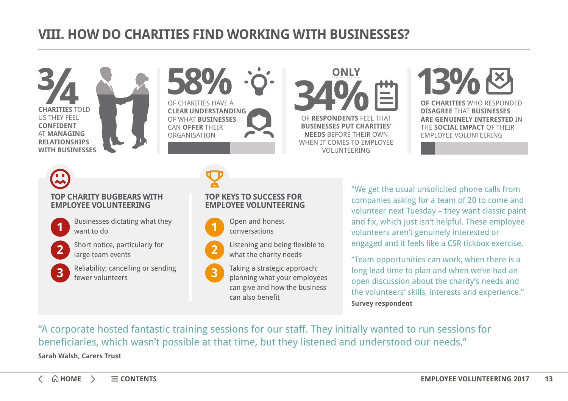## <span id="page-12-0"></span>**VIII. HOW DO CHARITIES FIND WORKING WITH BUSINESSES?**

**CHARITIES** TOLD US THEY FEEL **CONFIDENT**  AT **MANAGING RELATIONSHIPS WITH BUSINESSES**



**EAR UNDERSTANDING** 

**ONLY** OF **RESPONDENTS** FEEL THAT **BUSINESSES PUT CHARITIES' NEEDS** BEFORE THEIR OWN WHEN IT COMES TO EMPLOYEE VOLUNTEERING



**DISAGREE** THAT **BUSINESSES ARE GENUINELY INTERESTED** IN THE **SOCIAL IMPACT** OF THEIR EMPLOYEE VOLUNTEERING

# **TOP CHARITY BUGBEARS WITH EMPLOYEE VOLUNTEERING**



- Businesses dictating what they **1 1** want to do
- Short notice, particularly for large team events **2 2**
- Reliability; cancelling or sending fewer volunteers **3 3**



### **TOP KEYS TO SUCCESS FOR EMPLOYEE VOLUNTEERING**

Open and honest conversations



Taking a strategic approach; planning what your employees can give and how the business can also benefit

"We get the usual unsolicited phone calls from companies asking for a team of 20 to come and volunteer next Tuesday – they want classic paint and fix, which just isn't helpful. These employee volunteers aren't genuinely interested or engaged and it feels like a CSR tickbox exercise.

"Team opportunities can work, when there is a long lead time to plan and when we've had an open discussion about the charity's needs and the volunteers' skills, interests and experience." **Survey respondent**

"A corporate hosted fantastic training sessions for our staff. They initially wanted to run sessions for beneficiaries, which wasn't possible at that time, but they listened and understood our needs."

**Sarah Walsh, Carers Trust**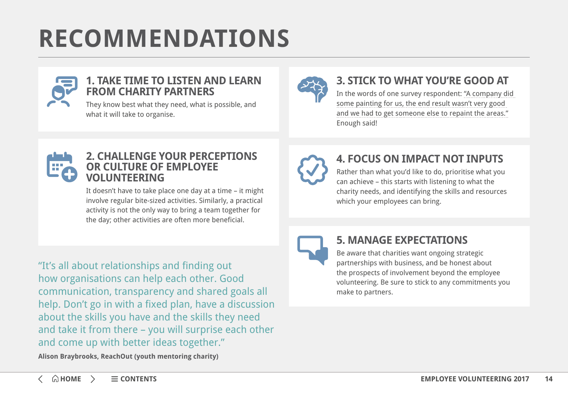# <span id="page-13-0"></span>**RECOMMENDATIONS**



### **1. TAKE TIME TO LISTEN AND LEARN FROM CHARITY PARTNERS**

They know best what they need, what is possible, and what it will take to organise.



## **3. STICK TO WHAT YOU'RE GOOD AT**

In the words of one survey respondent: "A company did some painting for us, the end result wasn't very good and we had to get someone else to repaint the areas." Enough said!



### **2. CHALLENGE YOUR PERCEPTIONS OR CULTURE OF EMPLOYEE VOLUNTEERING**

It doesn't have to take place one day at a time – it might involve regular bite-sized activities. Similarly, a practical activity is not the only way to bring a team together for the day; other activities are often more beneficial.

"It's all about relationships and finding out how organisations can help each other. Good communication, transparency and shared goals all help. Don't go in with a fixed plan, have a discussion about the skills you have and the skills they need and take it from there – you will surprise each other and come up with better ideas together."



## **4. FOCUS ON IMPACT NOT INPUTS**

Rather than what you'd like to do, prioritise what you can achieve – this starts with listening to what the charity needs, and identifying the skills and resources which your employees can bring.



## **5. MANAGE EXPECTATIONS**

Be aware that charities want ongoing strategic partnerships with business, and be honest about the prospects of involvement beyond the employee volunteering. Be sure to stick to any commitments you make to partners.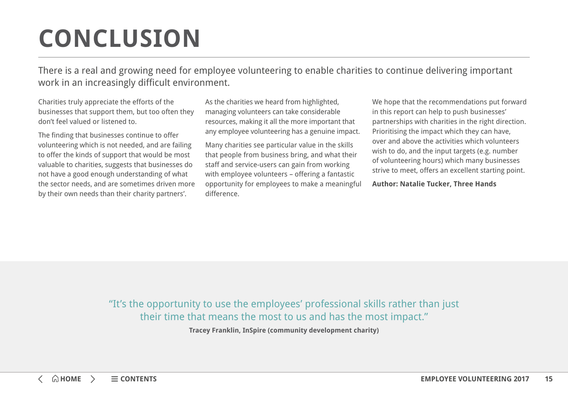# <span id="page-14-0"></span>**CONCLUSION**

There is a real and growing need for employee volunteering to enable charities to continue delivering important work in an increasingly difficult environment.

Charities truly appreciate the efforts of the businesses that support them, but too often they don't feel valued or listened to.

The finding that businesses continue to offer volunteering which is not needed, and are failing to offer the kinds of support that would be most valuable to charities, suggests that businesses do not have a good enough understanding of what the sector needs, and are sometimes driven more by their own needs than their charity partners'.

As the charities we heard from highlighted, managing volunteers can take considerable resources, making it all the more important that any employee volunteering has a genuine impact.

Many charities see particular value in the skills that people from business bring, and what their staff and service-users can gain from working with employee volunteers – offering a fantastic opportunity for employees to make a meaningful difference.

We hope that the recommendations put forward in this report can help to push businesses' partnerships with charities in the right direction. Prioritising the impact which they can have, over and above the activities which volunteers wish to do, and the input targets (e.g. number of volunteering hours) which many businesses strive to meet, offers an excellent starting point.

**Author: Natalie Tucker, Three Hands**

"It's the opportunity to use the employees' professional skills rather than just their time that means the most to us and has the most impact."

**Tracey Franklin, InSpire (community development charity)**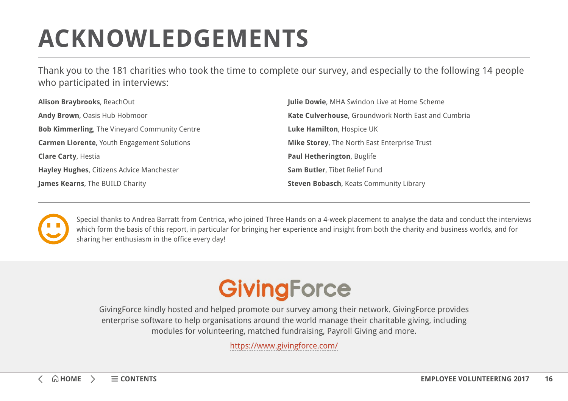# <span id="page-15-0"></span>**ACKNOWLEDGEMENTS**

Thank you to the 181 charities who took the time to complete our survey, and especially to the following 14 people who participated in interviews:

| Alison Braybrooks, ReachOut                          | <b>Julie Dowie, MHA Swindon Live at Home Scheme</b> |  |
|------------------------------------------------------|-----------------------------------------------------|--|
| Andy Brown, Oasis Hub Hobmoor                        | Kate Culverhouse, Groundwork North East and Cumbria |  |
| <b>Bob Kimmerling, The Vineyard Community Centre</b> | Luke Hamilton, Hospice UK                           |  |
| <b>Carmen Llorente, Youth Engagement Solutions</b>   | Mike Storey, The North East Enterprise Trust        |  |
| <b>Clare Carty, Hestia</b>                           | Paul Hetherington, Buglife                          |  |
| Hayley Hughes, Citizens Advice Manchester            | Sam Butler, Tibet Relief Fund                       |  |
| James Kearns, The BUILD Charity                      | <b>Steven Bobasch, Keats Community Library</b>      |  |



Special thanks to Andrea Barratt from Centrica, who joined Three Hands on a 4-week placement to analyse the data and conduct the interviews which form the basis of this report, in particular for bringing her experience and insight from both the charity and business worlds, and for sharing her enthusiasm in the office every day!

# GivingForce

GivingForce kindly hosted and helped promote our survey among their network. GivingForce provides enterprise software to help organisations around the world manage their charitable giving, including modules for volunteering, matched fundraising, Payroll Giving and more.

<https://www.givingforce.com/>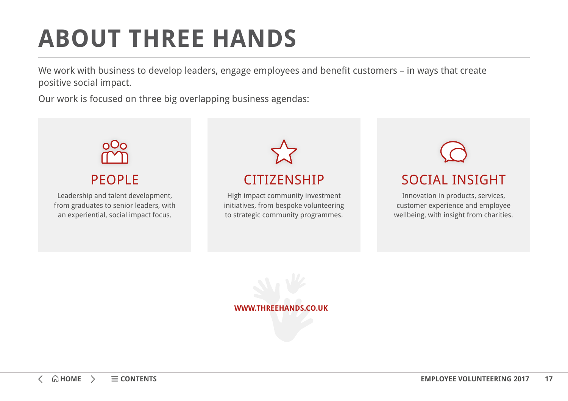# <span id="page-16-0"></span>**ABOUT THREE HANDS**

We work with business to develop leaders, engage employees and benefit customers – in ways that create positive social impact.

Our work is focused on three big overlapping business agendas: